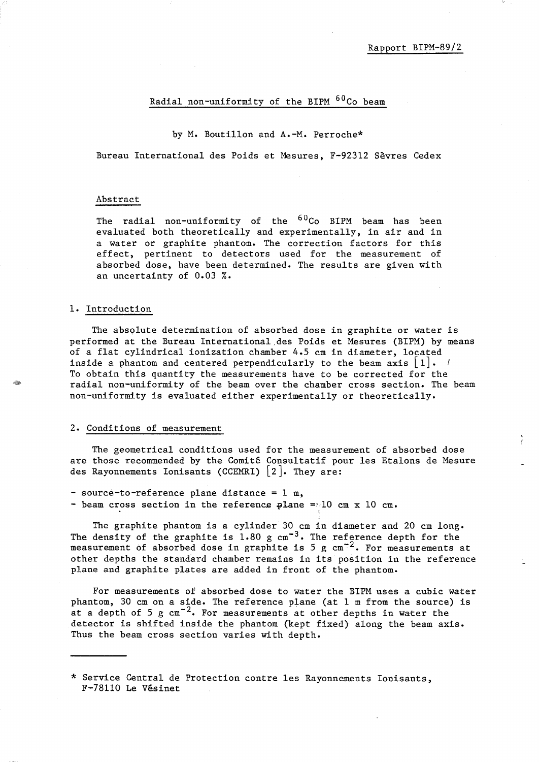# Radial non-uniformity of the BIPM <sup>60</sup>Co beam

#### by M. Boutillon and A.-M. Perroche\*

Bureau International des Poids et Mesures, F-92312 Sevres Cedex

### Abstract

The radial non-uniformity of the <sup>60</sup>Co BIPM beam has been evaluated both theoretically and experimentally, in air and in a water or graphite phantom. The correction factors for this effect, pertinent to detectors used for the measurement of absorbed dose, have been determined. The results are given with an uncertainty of 0.03 %.

#### 1. Introduction

The absolute determination of absorbed dose in graphite or water is performed at the Bureau International.des Poids et Mesures (BIPM) by means of a flat cylindrical ionization chamber 4.5 cm in diameter, located inside a phantom and centered perpendicularly to the beam axis  $|1|$ . To obtain this quantity the measurements have to be corrected for the radial non-uniformity of the beam over the chamber cross section. The beam non-uniformity is evaluated either experimentally or theoretically.

## 2. Conditions of measurement

The geometrical conditions used for the measurement of absorbed dose are those recommended by the Comite Consultatif pour les Etalons de Mesure des Rayonnements Ionisants (CCEMRI)  $[2]$ . They are:

- source-to-reference plane distance = 1 m,

- beam cross section in the reference  $\phi$ lane =:10 cm x 10 cm.

The graphite phantom is a cylinder 30 cm in diameter and 20 cm long. The density of the graphite is  $1.80 \text{ g cm}^{-3}$ . The reference depth for the measurement of absorbed dose in graphite is 5 g  $cm^{-2}$ . For measurements at other depths the standard chamber remains in its position in the reference plane and graphite plates are added in front of the phantom.

For measurements of absorbed dose to water the BIPM uses a cubic water phantom, 30 cm on a side. The reference plane (at 1 m from the source) is at a depth of 5 g  $cm^{-2}$ . For measurements at other depths in water the detector is shifted inside the phantom (kept fixed} along the beam axis. Thus the beam cross section varies with depth.

<sup>\*</sup> Service Central de Protection contre les Rayonnements Ionisants, F-78110 Le Vesinet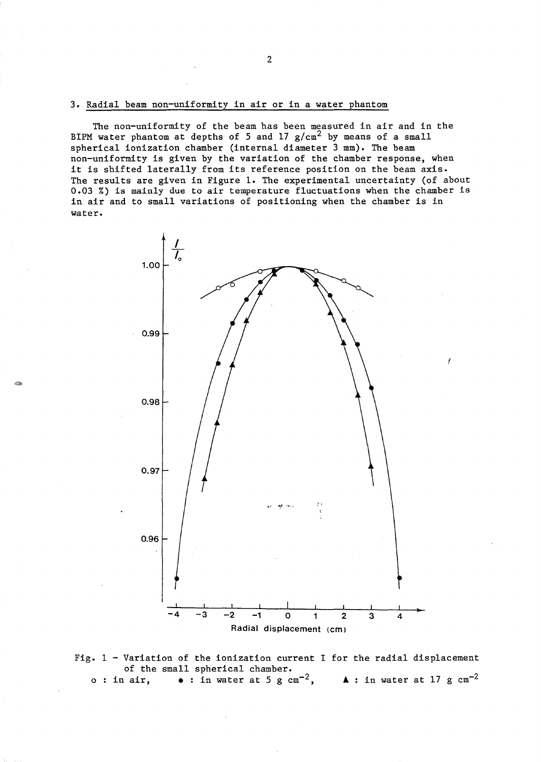## 3. Radial beam non-uniformity in air or in a water phantom

The non-uniformity of the beam has been measured in air and in the BIPM water phantom at depths of 5 and 17  $g/cm<sup>2</sup>$  by means of a small spherical ionization chamber (internal diameter 3 mm). The beam non-uniformity is given by the variation of the chamber response, when it is shifted laterally from its reference position on the beam axis. The results are given in Figure 1. The experimental uncertainty (of about 0.03 %) is mainly due to air temperature fluctuations when the chamber is in air and to small variations of positioning when the chamber is in water.



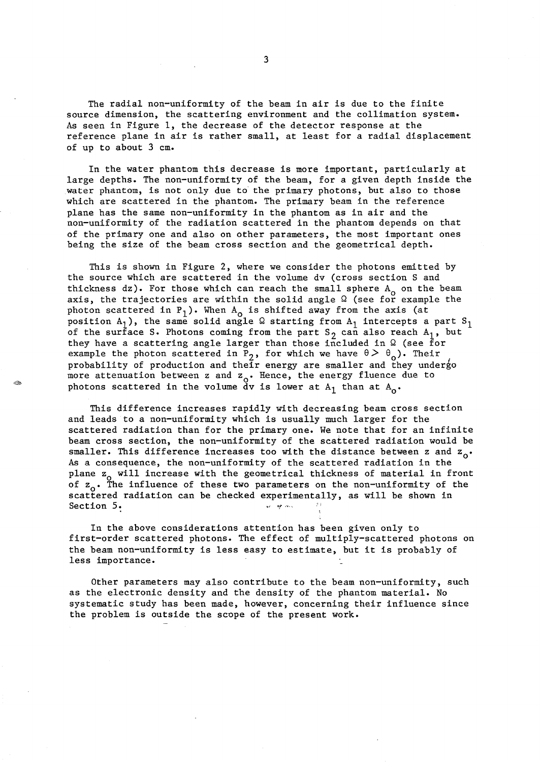The radial non-uniformity of the beam in air is due to the finite source dimension, the scattering environment and the collimation system. As seen in Figure 1, the decrease of the detector response at the reference plane in air is rather small, at least for a radial displacement of up to about 3 cm.

In the water phantom this decrease is more important, particularly at large depths. The non-uniformity of the beam, for a given depth inside the water phantom, is not only due to the primary photons, but also to those which are scattered in the phantom. The primary beam in the reference plane has the same non-uniformity in the phantom as in air and the non-uniformity of the radiation scattered in the phantom depends on that of the primary one and also on other parameters, the most important ones being the size of the beam cross section and the geometrical depth.

This is shown in Figure 2, where we consider the photons emitted by the source which are scattered in the volume dv (cross section S and thickness dz). For those which can reach the small sphere  $A_0$  on the beam axis, the trajectories are within the solid angle  $\Omega$  (see for example the photon scattered in  $P_1$ ). When  $A_0$  is shifted away from the axis (at position  $A_1$ ), the same solid angle  $\Omega$  starting from  $A_1$  intercepts a part  $S_1$ of the surface S. Photons coming from the part  $S_2$  can also reach  $A_1$ , but they have a scattering angle larger than those included in  $\Omega$  (see for example the photon scattered in P<sub>2</sub>, for which we have  $\theta > \theta_0$ ). Their probability of production and their energy are smaller and they undergo more attenuation between z and  $z_0$ . Hence, the energy fluence due to photons scattered in the volume dv is lower at  $A_1$  than at  $A_0$ .

This difference increases rapidly with decreasing beam cross section and leads to a non-uniformity which is usually much larger for the scattered radiation than for the primary one. We note that for an infinite beam cross section, the non-uniformity of the scattered radiation would be smaller. This difference increases too with the distance between z and  $z_0$ . As a consequence, the non-uniformity of the scattered radiation in the plane z<sub>o</sub> will increase with the geometrical thickness of material in front of  $z_{\alpha}$ . The influence of these two parameters on the non-uniformity of the scattered radiation can be checked experimentally, as will be shown in Section 5.  $\cdots$  ,  $\cdots$  ,  $\cdots$  ,  $\cdots$ 

In the above considerations attention has been given only to first-order scattered photons. The effect of multiply-scattered photons on the beam non-uniformity is less easy to estimate, but it is probably of less importance.

Other parameters may also contribute to the beam non-uniformity, such as the electronic density and the density of the phantom material. No systematic study has been made, however, concerning their influence since the problem is outside the scope of the present work.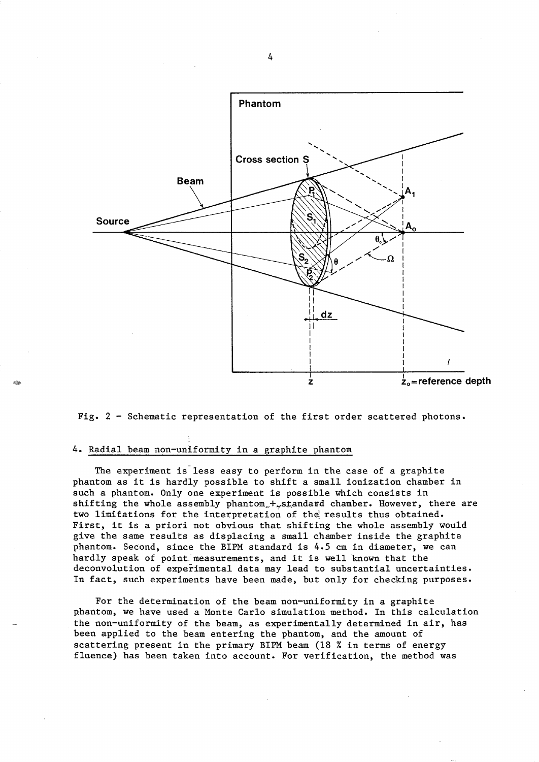

Fig. 2 - Schematic representation of the first order scattered photons.

#### 4. Radial beam non-uniformity in a graphite phantom

The experiment is less easy to perform in the case of a graphite phantom as it is hardly possible to shift a small ionization chamber in such a phantom. Only one experiment is possible which consists in shifting the whole assembly phantom., + standard chamber. However, there are two limitations for the interpretation of the results thus obtained. First, it is a priori not obvious that shifting the whole assembly would give the same results as displacing a small chamber inside the graphite phantom. Second, since the BIPM standard is 4.5 cm in diameter, we can hardly speak of point-measurements, and it is well known that the deconvolution of experimental data may lead to substantial uncertainties. In fact, such experiments have been made, but only for checking purposes.

For the determination of the beam non-uniformity in a graphite phantom, we have used a Monte Carlo simulation method. In this calculation the non-uniformity of the beam, as experimentally determined in air, has been applied to the beam entering the phantom, and the amount of scattering present in the primary BIPM beam (18 % in terms of energy fluence) has been taken into account. For verification, the method was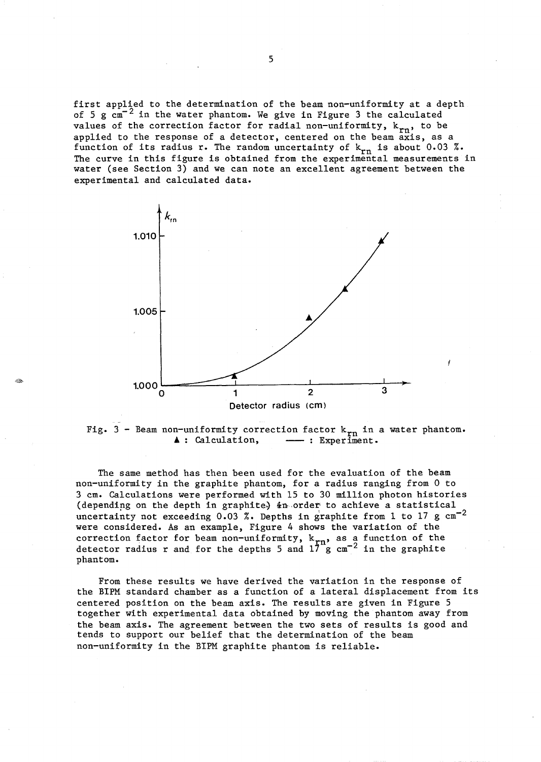first applied to the determination of the beam non-uniformity at a depth of 5 g  $\text{cm}^{-2}$  in the water phantom. We give in Figure 3 the calculated values of the correction factor for radial non-uniformity,  $k_{rn}$ , to be applied to the response of a detector, centered on the beam  $\frac{1}{4}$  axis, as a function of its radius r. The random uncertainty of  $k_{rn}$  is about 0.03 %. The curve in this figure is obtained from the experimental measurements in water (see Section 3) and we can note an excellent agreement between the experimental and calculated data.





The same method has then been used for the evaluation of the beam non-uniformity in the graphite phantom, for a radius ranging from 0 to 3 cm. Calculations were performed with 15 to 30 million photon histories (depending on the depth in graphite)  $\frac{1}{2}$ n order to achieve a statistical uncertainty not exceeding 0.03 %. Depths in graphite from 1 to 17 g  $cm^{-2}$ were considered. As an example, Figure 4 shows the variation of the correction factor for beam non-uniformity,  $k_{rn}$ , as a function of the detector radius r and for the depths 5 and  $17 \text{ g cm}^{-2}$  in the graphite phantom.

From these results we have derived the variation in the response of the BIPM standard chamber as a function of a lateral displacement from its centered position on the beam axis. The results are given in Figure 5 together with experimental data obtained by moving the phantom away from the beam axis. The agreement between the two sets of results is good and tends to support our belief that the determination of the beam non-uniformity in the BIPM graphite phantom is reliable.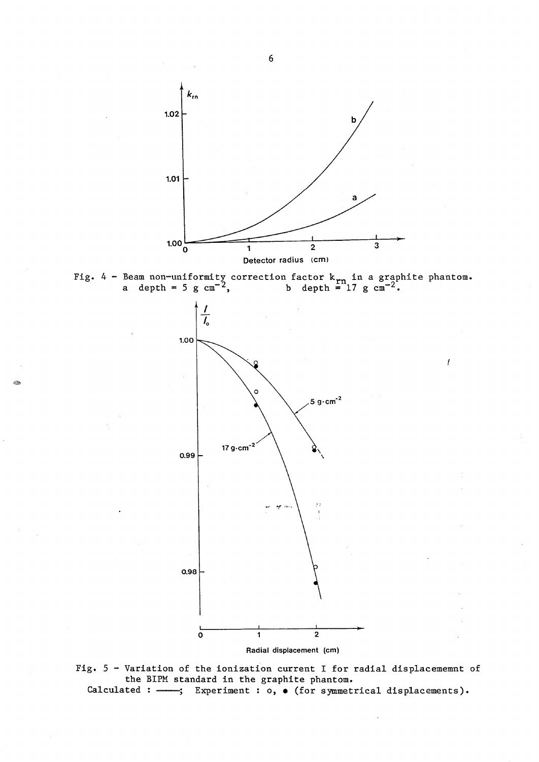

Fig. 4 - Beam non-uniformity correction factor  $k_{rn}$  in a graphite phantom. a depth = 5 g cm<sup>-2</sup>, b depth = 17 g cm<sup>-2</sup>.

İ



Radial displacement (cm)

Fig. 5 - Variation of the ionization current I for radial displacememnt of the BIPM standard in the graphite phantom. Calculated:  $-\rightarrow$ ; Experiment: 0,  $\bullet$  (for symmetrical displacements).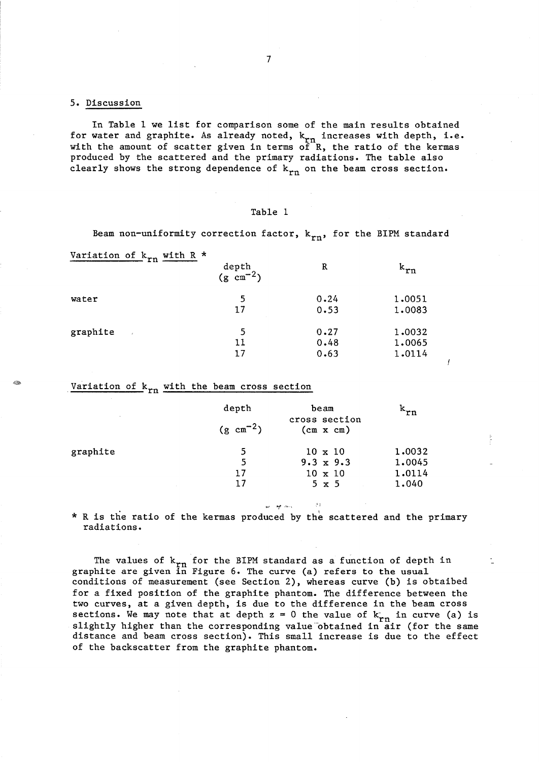### 5. Discussion

In Table 1 we list for comparison some of the main results obtained for water and graphite. As already noted,  $k_{rn}$  increases with depth, i.e. with the amount of scatter given in terms of  $R$ , the ratio of the kermas produced by the scattered and the primary radiations. The table also clearly shows the strong dependence of  $k_{rn}$  on the beam cross section.

| пı<br>H |  |
|---------|--|
|---------|--|

Beam non-uniformity correction factor,  $k_{rn}$ , for the BIPM standard

Variation of  $k_{rn}$  with R \*

| .                         | depth<br>$(g \text{ cm}^{-2})$ | R    | $k_{rn}$ |
|---------------------------|--------------------------------|------|----------|
| water                     | 5                              | 0.24 | 1.0051   |
|                           | 17                             | 0.53 | 1.0083   |
| graphite<br>$\mathcal{A}$ | 5                              | 0.27 | 1.0032   |
|                           | 11                             | 0.48 | 1.0065   |
|                           | 17                             | 0.63 | 1.0114   |

# Variation of  $k_{rn}$  with the beam cross section

|          | depth<br>$(g \text{ cm}^{-2})$ | beam<br>cross section<br>$(cm \times cn)$ | ^rn    |
|----------|--------------------------------|-------------------------------------------|--------|
| graphite | 5                              | $10 \times 10$                            | 1.0032 |
|          | 5                              | $9.3 \times 9.3$                          | 1.0045 |
|          | 17                             | $10 \times 10$                            | 1.0114 |
|          | 17                             | $5 \times 5$                              | 1.040  |

\* R is the ratio of the kermas produced by the scattered and the primary radiations.

The values of  $k_{rn}$  for the BIPM standard as a function of depth in graphite are given in Figure 6. The curve (a) refers to the usual conditions of measurement (see Section 2), whereas curve (b) is obtaibed for a fixed position of the graphite phantom. The difference between the two curves, at a given depth, is due to the difference in the beam cross sections. We may note that at depth  $z = 0$  the value of  $k_{rn}$  in curve (a) is slightly higher than the corresponding value obtained in air (for the same distance and beam cross section). This small increase is due to the effect of the backscatter from the graphite phantom.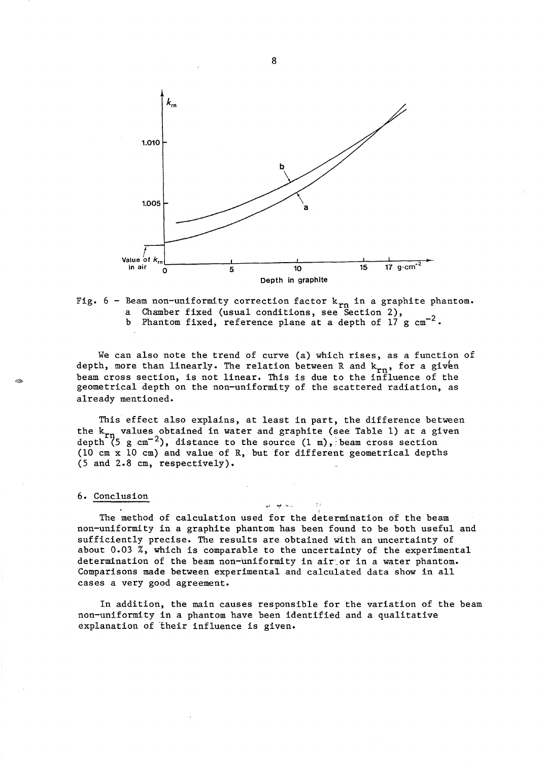



We can also note the trend of curve (a) which rises, as a function of depth, more than linearly. The relation between R and  $k_{rn}$ , for a given beam cross section, is not linear. This is due to the influence of the geometrical depth on the non-uniformity of the scattered radiation, as already mentioned.

This effect also explains, at least in part, the difference between the  $k_{rn}$  values obtained in water and graphite (see Table 1) at a given depth (5 g cm<sup>-2</sup>), distance to the source  $(1 \text{ m})$ , beam cross section (10 cm x 10 cm) and value of R, but for different geometrical depths (5 and 2.8 cm, respectively).

#### 6. Conclusion

The method of calculation used for the determination of the beam non-uniformity in a graphite phantom has been found to be both useful and sufficiently precise. The results are obtained with an uncertainty of about 0.03 %, which is comparable to the uncertainty of the experimental determination of the beam non-uniformity in air or in a water phantom. Comparisons made between experimental and calculated data show in all cases a very good agreement.

:';

In addition, the main causes responsible for the variation of the beam non-uniformity in a phantom have been identified and a qualitative explanation of their influence is given.